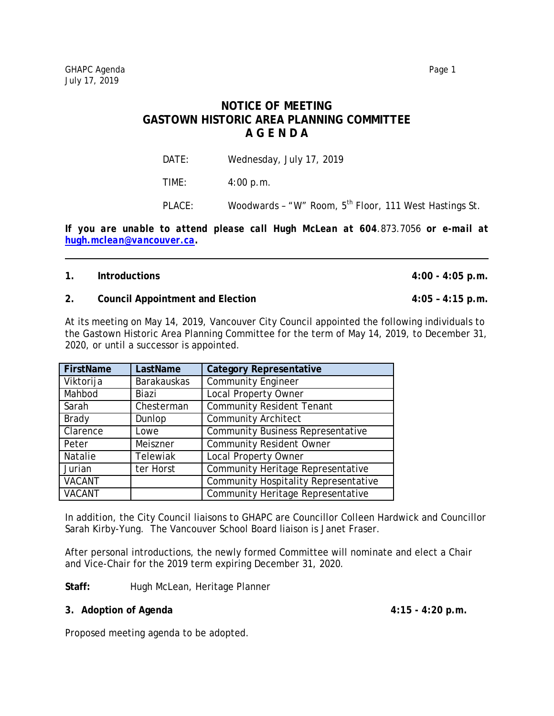# **NOTICE OF MEETING GASTOWN HISTORIC AREA PLANNING COMMITTEE A G E N D A**

DATE: Wednesday, July 17, 2019

TIME: 4:00 p.m.

PLACE: Woodwards - "W" Room, 5<sup>th</sup> Floor, 111 West Hastings St.

*If you are unable to attend please call Hugh McLean at 604.873.7056 or e-mail at [hugh.mclean@vancouver.ca.](mailto:hugh.mclean@vancouver.ca)*

## **1. Introductions 4:00 - 4:05 p.m.**

### **2. Council Appointment and Election 4:05 – 4:15 p.m.**

At its meeting on May 14, 2019, Vancouver City Council appointed the following individuals to the Gastown Historic Area Planning Committee for the term of May 14, 2019, to December 31, 2020, or until a successor is appointed.

| FirstName     | LastName           | <b>Category Representative</b>              |
|---------------|--------------------|---------------------------------------------|
| Viktorija     | <b>Barakauskas</b> | <b>Community Engineer</b>                   |
| Mahbod        | Biazi              | <b>Local Property Owner</b>                 |
| Sarah         | Chesterman         | <b>Community Resident Tenant</b>            |
| <b>Brady</b>  | Dunlop             | Community Architect                         |
| Clarence      | Lowe               | <b>Community Business Representative</b>    |
| Peter         | Meiszner           | <b>Community Resident Owner</b>             |
| Natalie       | Telewiak           | <b>Local Property Owner</b>                 |
| Jurian        | ter Horst          | Community Heritage Representative           |
| <b>VACANT</b> |                    | <b>Community Hospitality Representative</b> |
| <b>VACANT</b> |                    | <b>Community Heritage Representative</b>    |

In addition, the City Council liaisons to GHAPC are Councillor Colleen Hardwick and Councillor Sarah Kirby-Yung. The Vancouver School Board liaison is Janet Fraser.

After personal introductions, the newly formed Committee will nominate and elect a Chair and Vice-Chair for the 2019 term expiring December 31, 2020.

**Staff:** Hugh McLean, Heritage Planner

## **3. Adoption of Agenda 4:15 - 4:20 p.m.**

Proposed meeting agenda to be adopted.